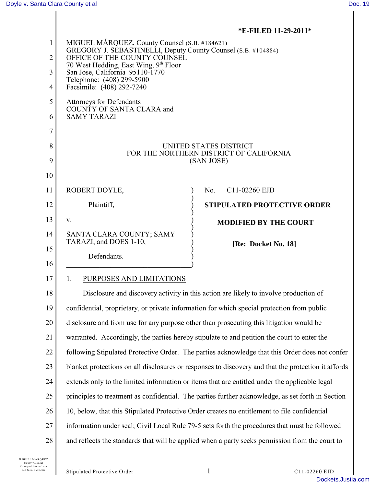### **\*E-FILED 11-29-2011\***

| 1<br>$\overline{2}$<br>3<br>4 | MIGUEL MÁRQUEZ, County Counsel (S.B. #184621)<br>GREGORY J. SEBASTINELLI, Deputy County Counsel (S.B. #104884)<br>OFFICE OF THE COUNTY COUNSEL<br>70 West Hedding, East Wing, 9th Floor<br>San Jose, California 95110-1770<br>Telephone: (408) 299-5900<br>Facsimile: (408) 292-7240 |  |  |
|-------------------------------|--------------------------------------------------------------------------------------------------------------------------------------------------------------------------------------------------------------------------------------------------------------------------------------|--|--|
| 5                             | <b>Attorneys for Defendants</b>                                                                                                                                                                                                                                                      |  |  |
| 6                             | COUNTY OF SANTA CLARA and<br><b>SAMY TARAZI</b>                                                                                                                                                                                                                                      |  |  |
| 7                             |                                                                                                                                                                                                                                                                                      |  |  |
| 8<br>9                        | UNITED STATES DISTRICT<br>FOR THE NORTHERN DISTRICT OF CALIFORNIA                                                                                                                                                                                                                    |  |  |
| 10                            | (SAN JOSE)                                                                                                                                                                                                                                                                           |  |  |
| 11                            | ROBERT DOYLE,<br>No.<br>C11-02260 EJD                                                                                                                                                                                                                                                |  |  |
| 12                            | Plaintiff,<br><b>STIPULATED PROTECTIVE ORDER</b>                                                                                                                                                                                                                                     |  |  |
| 13                            | V.                                                                                                                                                                                                                                                                                   |  |  |
| 14                            | <b>MODIFIED BY THE COURT</b><br>SANTA CLARA COUNTY; SAMY                                                                                                                                                                                                                             |  |  |
| 15                            | TARAZI; and DOES 1-10,<br>[Re: Docket No. 18]                                                                                                                                                                                                                                        |  |  |
| 16                            | Defendants.                                                                                                                                                                                                                                                                          |  |  |
| 17                            | PURPOSES AND LIMITATIONS<br>1.                                                                                                                                                                                                                                                       |  |  |
| 18                            | Disclosure and discovery activity in this action are likely to involve production of                                                                                                                                                                                                 |  |  |
| 19                            | confidential, proprietary, or private information for which special protection from public                                                                                                                                                                                           |  |  |
| 20                            | disclosure and from use for any purpose other than prosecuting this litigation would be                                                                                                                                                                                              |  |  |
| 21                            | warranted. Accordingly, the parties hereby stipulate to and petition the court to enter the                                                                                                                                                                                          |  |  |
| 22                            | following Stipulated Protective Order. The parties acknowledge that this Order does not confer                                                                                                                                                                                       |  |  |
| 23                            | blanket protections on all disclosures or responses to discovery and that the protection it affords                                                                                                                                                                                  |  |  |
| 24                            | extends only to the limited information or items that are entitled under the applicable legal                                                                                                                                                                                        |  |  |
| 25                            | principles to treatment as confidential. The parties further acknowledge, as set forth in Section                                                                                                                                                                                    |  |  |
| 26                            | 10, below, that this Stipulated Protective Order creates no entitlement to file confidential                                                                                                                                                                                         |  |  |
| 27                            | information under seal; Civil Local Rule 79-5 sets forth the procedures that must be followed                                                                                                                                                                                        |  |  |
| 28                            | and reflects the standards that will be applied when a party seeks permission from the court to                                                                                                                                                                                      |  |  |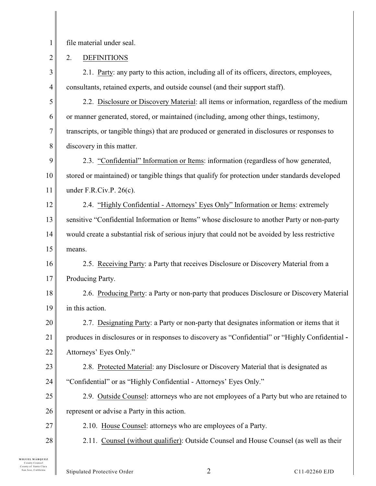1 file material under seal.

2 2. DEFINITIONS

3 4 2.1. Party: any party to this action, including all of its officers, directors, employees, consultants, retained experts, and outside counsel (and their support staff).

5 6 7 8 2.2. Disclosure or Discovery Material: all items or information, regardless of the medium or manner generated, stored, or maintained (including, among other things, testimony, transcripts, or tangible things) that are produced or generated in disclosures or responses to discovery in this matter.

9 10 11 2.3. "Confidential" Information or Items: information (regardless of how generated, stored or maintained) or tangible things that qualify for protection under standards developed under F.R.Civ.P. 26(c).

12 13 14 15 2.4. "Highly Confidential - Attorneys' Eyes Only" Information or Items: extremely sensitive "Confidential Information or Items" whose disclosure to another Party or non-party would create a substantial risk of serious injury that could not be avoided by less restrictive means.

16 17 2.5. Receiving Party: a Party that receives Disclosure or Discovery Material from a Producing Party.

18 19 2.6. Producing Party: a Party or non-party that produces Disclosure or Discovery Material in this action.

20 21 22 2.7. Designating Party: a Party or non-party that designates information or items that it produces in disclosures or in responses to discovery as "Confidential" or "Highly Confidential - Attorneys' Eyes Only."

23 24 2.8. Protected Material: any Disclosure or Discovery Material that is designated as "Confidential" or as "Highly Confidential - Attorneys' Eyes Only."

25 26 2.9. Outside Counsel: attorneys who are not employees of a Party but who are retained to represent or advise a Party in this action.

- 2.10. House Counsel: attorneys who are employees of a Party.
- 2.11. Counsel (without qualifier): Outside Counsel and House Counsel (as well as their

**M IGUEL M ÁRQ UEZ** County Counsel C ounty of Santa Clara

27

28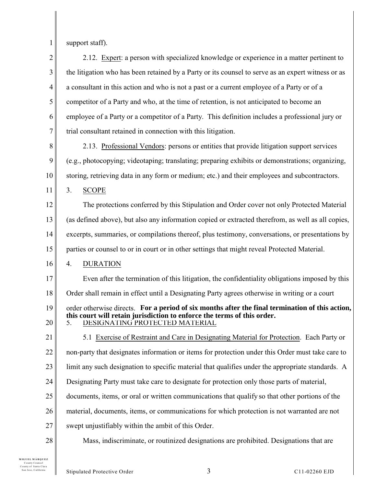1

support staff).

2 3 4 5 6 7 2.12. Expert: a person with specialized knowledge or experience in a matter pertinent to the litigation who has been retained by a Party or its counsel to serve as an expert witness or as a consultant in this action and who is not a past or a current employee of a Party or of a competitor of a Party and who, at the time of retention, is not anticipated to become an employee of a Party or a competitor of a Party. This definition includes a professional jury or trial consultant retained in connection with this litigation.

8 9 10 2.13. Professional Vendors: persons or entities that provide litigation support services (e.g., photocopying; videotaping; translating; preparing exhibits or demonstrations; organizing, storing, retrieving data in any form or medium; etc.) and their employees and subcontractors.

11 3. SCOPE

12 13 14 15 The protections conferred by this Stipulation and Order cover not only Protected Material (as defined above), but also any information copied or extracted therefrom, as well as all copies, excerpts, summaries, or compilations thereof, plus testimony, conversations, or presentations by parties or counsel to or in court or in other settings that might reveal Protected Material.

16 4. DURATION

17 18 Even after the termination of this litigation, the confidentiality obligations imposed by this Order shall remain in effect until a Designating Party agrees otherwise in writing or a court

19 20 order otherwise directs. **For a period of six months after the final termination of this action, this court will retain jurisdiction to enforce the terms of this order.**

5. DESIGNATING PROTECTED MATERIAL

21 22 23 5.1 Exercise of Restraint and Care in Designating Material for Protection. Each Party or non-party that designates information or items for protection under this Order must take care to limit any such designation to specific material that qualifies under the appropriate standards. A

- 24 Designating Party must take care to designate for protection only those parts of material,
- 25 documents, items, or oral or written communications that qualify so that other portions of the
- 26 material, documents, items, or communications for which protection is not warranted are not
- 27 swept unjustifiably within the ambit of this Order.
- 28

Mass, indiscriminate, or routinized designations are prohibited. Designations that are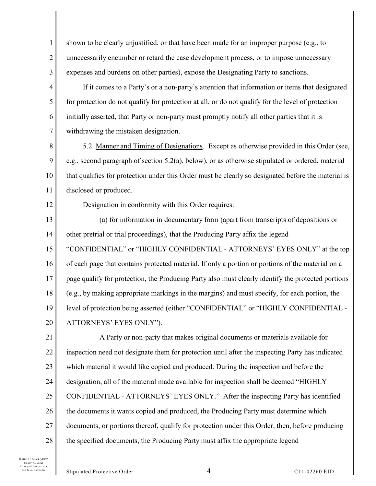1 2 3 shown to be clearly unjustified, or that have been made for an improper purpose (e.g., to unnecessarily encumber or retard the case development process, or to impose unnecessary expenses and burdens on other parties), expose the Designating Party to sanctions.

4 5 6 7 If it comes to a Party's or a non-party's attention that information or items that designated for protection do not qualify for protection at all, or do not qualify for the level of protection initially asserted, that Party or non-party must promptly notify all other parties that it is withdrawing the mistaken designation.

8 9 10 11 5.2 Manner and Timing of Designations. Except as otherwise provided in this Order (see, e.g., second paragraph of section 5.2(a), below), or as otherwise stipulated or ordered, material that qualifies for protection under this Order must be clearly so designated before the material is disclosed or produced.

12

Designation in conformity with this Order requires:

13 14 15 16 17 18 19 20 (a) for information in documentary form (apart from transcripts of depositions or other pretrial or trial proceedings), that the Producing Party affix the legend "CONFIDENTIAL" or "HIGHLY CONFIDENTIAL - ATTORNEYS' EYES ONLY" at the top of each page that contains protected material. If only a portion or portions of the material on a page qualify for protection, the Producing Party also must clearly identify the protected portions (e.g., by making appropriate markings in the margins) and must specify, for each portion, the level of protection being asserted (either "CONFIDENTIAL" or "HIGHLY CONFIDENTIAL - ATTORNEYS' EYES ONLY").

21 22 23 24 25 26 27 28 A Party or non-party that makes original documents or materials available for inspection need not designate them for protection until after the inspecting Party has indicated which material it would like copied and produced. During the inspection and before the designation, all of the material made available for inspection shall be deemed "HIGHLY CONFIDENTIAL - ATTORNEYS' EYES ONLY." After the inspecting Party has identified the documents it wants copied and produced, the Producing Party must determine which documents, or portions thereof, qualify for protection under this Order, then, before producing the specified documents, the Producing Party must affix the appropriate legend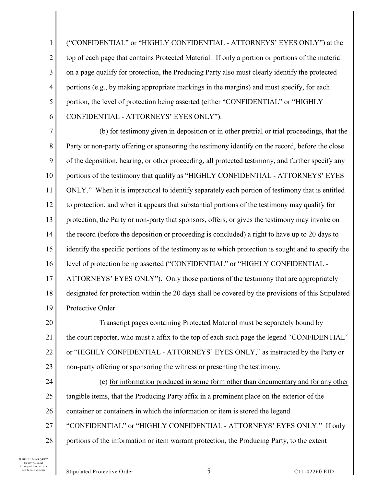1 2 3 4 5 6 ("CONFIDENTIAL" or "HIGHLY CONFIDENTIAL - ATTORNEYS' EYES ONLY") at the top of each page that contains Protected Material. If only a portion or portions of the material on a page qualify for protection, the Producing Party also must clearly identify the protected portions (e.g., by making appropriate markings in the margins) and must specify, for each portion, the level of protection being asserted (either "CONFIDENTIAL" or "HIGHLY CONFIDENTIAL - ATTORNEYS' EYES ONLY").

7 8 9 10 11 12 13 14 15 16 17 18 19 (b) for testimony given in deposition or in other pretrial or trial proceedings, that the Party or non-party offering or sponsoring the testimony identify on the record, before the close of the deposition, hearing, or other proceeding, all protected testimony, and further specify any portions of the testimony that qualify as "HIGHLY CONFIDENTIAL - ATTORNEYS' EYES ONLY." When it is impractical to identify separately each portion of testimony that is entitled to protection, and when it appears that substantial portions of the testimony may qualify for protection, the Party or non-party that sponsors, offers, or gives the testimony may invoke on the record (before the deposition or proceeding is concluded) a right to have up to 20 days to identify the specific portions of the testimony as to which protection is sought and to specify the level of protection being asserted ("CONFIDENTIAL" or "HIGHLY CONFIDENTIAL - ATTORNEYS' EYES ONLY"). Only those portions of the testimony that are appropriately designated for protection within the 20 days shall be covered by the provisions of this Stipulated Protective Order.

20 21 22 23 Transcript pages containing Protected Material must be separately bound by the court reporter, who must a affix to the top of each such page the legend "CONFIDENTIAL" or "HIGHLY CONFIDENTIAL - ATTORNEYS' EYES ONLY," as instructed by the Party or non-party offering or sponsoring the witness or presenting the testimony.

24 25 26 27 28 (c) for information produced in some form other than documentary and for any other tangible items, that the Producing Party affix in a prominent place on the exterior of the container or containers in which the information or item is stored the legend "CONFIDENTIAL" or "HIGHLY CONFIDENTIAL - ATTORNEYS' EYES ONLY." If only portions of the information or item warrant protection, the Producing Party, to the extent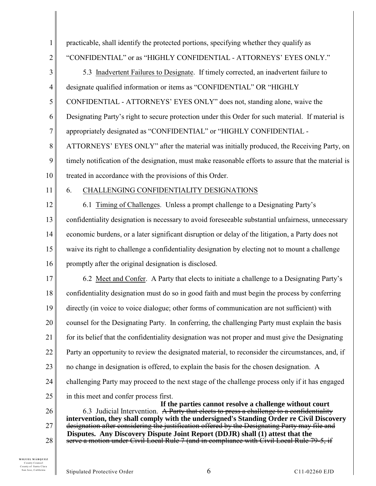| $\mathbf{1}$   | practicable, shall identify the protected portions, specifying whether they qualify as                                                                                               |  |  |  |
|----------------|--------------------------------------------------------------------------------------------------------------------------------------------------------------------------------------|--|--|--|
| $\overline{2}$ | "CONFIDENTIAL" or as "HIGHLY CONFIDENTIAL - ATTORNEYS' EYES ONLY."                                                                                                                   |  |  |  |
| 3              | 5.3 Inadvertent Failures to Designate. If timely corrected, an inadvertent failure to                                                                                                |  |  |  |
| 4              | designate qualified information or items as "CONFIDENTIAL" OR "HIGHLY                                                                                                                |  |  |  |
| 5              | CONFIDENTIAL - ATTORNEYS' EYES ONLY" does not, standing alone, waive the                                                                                                             |  |  |  |
| 6              | Designating Party's right to secure protection under this Order for such material. If material is                                                                                    |  |  |  |
| 7              | appropriately designated as "CONFIDENTIAL" or "HIGHLY CONFIDENTIAL -                                                                                                                 |  |  |  |
| 8              | ATTORNEYS' EYES ONLY" after the material was initially produced, the Receiving Party, on                                                                                             |  |  |  |
| 9              | timely notification of the designation, must make reasonable efforts to assure that the material is                                                                                  |  |  |  |
| 10             | treated in accordance with the provisions of this Order.                                                                                                                             |  |  |  |
| 11             | 6.<br><b>CHALLENGING CONFIDENTIALITY DESIGNATIONS</b>                                                                                                                                |  |  |  |
| 12             | 6.1 Timing of Challenges. Unless a prompt challenge to a Designating Party's                                                                                                         |  |  |  |
| 13             | confidentiality designation is necessary to avoid foreseeable substantial unfairness, unnecessary                                                                                    |  |  |  |
| 14             | economic burdens, or a later significant disruption or delay of the litigation, a Party does not                                                                                     |  |  |  |
| 15             | waive its right to challenge a confidentiality designation by electing not to mount a challenge                                                                                      |  |  |  |
| 16             | promptly after the original designation is disclosed.                                                                                                                                |  |  |  |
| 17             | 6.2 Meet and Confer. A Party that elects to initiate a challenge to a Designating Party's                                                                                            |  |  |  |
| 18             | confidentiality designation must do so in good faith and must begin the process by conferring                                                                                        |  |  |  |
| 19             | directly (in voice to voice dialogue; other forms of communication are not sufficient) with                                                                                          |  |  |  |
| 20             | counsel for the Designating Party. In conferring, the challenging Party must explain the basis                                                                                       |  |  |  |
| 21             | for its belief that the confidentiality designation was not proper and must give the Designating                                                                                     |  |  |  |
| 22             | Party an opportunity to review the designated material, to reconsider the circumstances, and, if                                                                                     |  |  |  |
| 23             | no change in designation is offered, to explain the basis for the chosen designation. A                                                                                              |  |  |  |
| 24             | challenging Party may proceed to the next stage of the challenge process only if it has engaged                                                                                      |  |  |  |
| 25             | in this meet and confer process first.<br>If the parties cannot resolve a challenge without court                                                                                    |  |  |  |
| 26             | 6.3 Judicial Intervention. A Party that elects to press a challenge to a confidentiality<br>intervention, they shall comply with the undersigned's Standing Order re Civil Discovery |  |  |  |
| 27             | designation after considering the justification offered by the Designating Party may file and                                                                                        |  |  |  |
| 28             | Disputes. Any Discovery Dispute Joint Report (DDJR) shall (1) attest that the<br>serve a motion under Civil Local Rule 7 (and in compliance with Civil Local Rule 79-5, if           |  |  |  |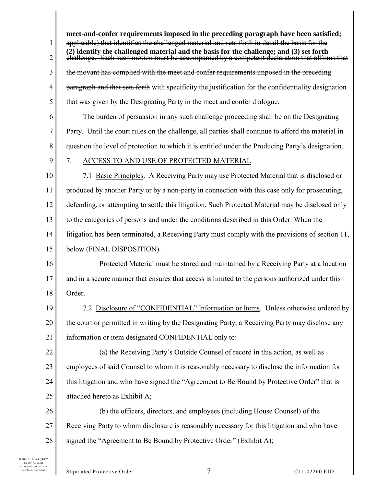1 2 3 4 5 6 7 8 9 10 11 12 13 14 15 16 17 18 19 20 21 22 23 24 25 26 27 28 applicable) that identifies the challenged material and sets forth in detail the basis for the challenge. Each such motion must be accompanied by a competent declaration that affirms that the movant has complied with the meet and confer requirements imposed in the preceding paragraph and that sets forth with specificity the justification for the confidentiality designation that was given by the Designating Party in the meet and confer dialogue. The burden of persuasion in any such challenge proceeding shall be on the Designating Party. Until the court rules on the challenge, all parties shall continue to afford the material in question the level of protection to which it is entitled under the Producing Party's designation. 7. ACCESS TO AND USE OF PROTECTED MATERIAL 7.1 Basic Principles. A Receiving Party may use Protected Material that is disclosed or produced by another Party or by a non-party in connection with this case only for prosecuting, defending, or attempting to settle this litigation. Such Protected Material may be disclosed only to the categories of persons and under the conditions described in this Order. When the litigation has been terminated, a Receiving Party must comply with the provisions of section 11, below (FINAL DISPOSITION). Protected Material must be stored and maintained by a Receiving Party at a location and in a secure manner that ensures that access is limited to the persons authorized under this Order. 7.2 Disclosure of "CONFIDENTIAL" Information or Items. Unless otherwise ordered by the court or permitted in writing by the Designating Party, a Receiving Party may disclose any information or item designated CONFIDENTIAL only to: (a) the Receiving Party's Outside Counsel of record in this action, as well as employees of said Counsel to whom it is reasonably necessary to disclose the information for this litigation and who have signed the "Agreement to Be Bound by Protective Order" that is attached hereto as Exhibit A; (b) the officers, directors, and employees (including House Counsel) of the Receiving Party to whom disclosure is reasonably necessary for this litigation and who have signed the "Agreement to Be Bound by Protective Order" (Exhibit A); **meet-and-confer requirements imposed in the preceding paragraph have been satisfied; (2) identify the challenged material and the basis for the challenge; and (3) set forth**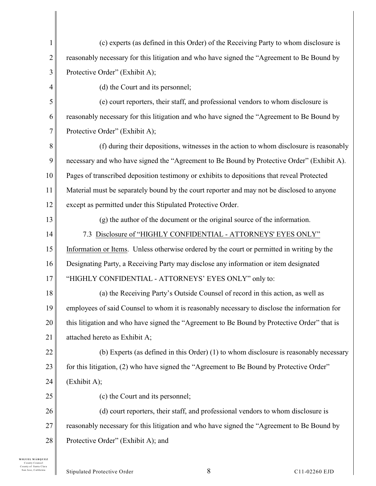| 1  | (c) experts (as defined in this Order) of the Receiving Party to whom disclosure is          |
|----|----------------------------------------------------------------------------------------------|
| 2  | reasonably necessary for this litigation and who have signed the "Agreement to Be Bound by   |
| 3  | Protective Order" (Exhibit A);                                                               |
| 4  | (d) the Court and its personnel;                                                             |
| 5  | (e) court reporters, their staff, and professional vendors to whom disclosure is             |
| 6  | reasonably necessary for this litigation and who have signed the "Agreement to Be Bound by   |
| 7  | Protective Order" (Exhibit A);                                                               |
| 8  | (f) during their depositions, witnesses in the action to whom disclosure is reasonably       |
| 9  | necessary and who have signed the "Agreement to Be Bound by Protective Order" (Exhibit A).   |
| 10 | Pages of transcribed deposition testimony or exhibits to depositions that reveal Protected   |
| 11 | Material must be separately bound by the court reporter and may not be disclosed to anyone   |
| 12 | except as permitted under this Stipulated Protective Order.                                  |
| 13 | (g) the author of the document or the original source of the information.                    |
| 14 | 7.3 Disclosure of "HIGHLY CONFIDENTIAL - ATTORNEYS' EYES ONLY"                               |
| 15 | Information or Items. Unless otherwise ordered by the court or permitted in writing by the   |
| 16 | Designating Party, a Receiving Party may disclose any information or item designated         |
| 17 | "HIGHLY CONFIDENTIAL - ATTORNEYS' EYES ONLY" only to:                                        |
| 18 | (a) the Receiving Party's Outside Counsel of record in this action, as well as               |
| 19 | employees of said Counsel to whom it is reasonably necessary to disclose the information for |
| 20 | this litigation and who have signed the "Agreement to Be Bound by Protective Order" that is  |
| 21 | attached hereto as Exhibit A;                                                                |
| 22 | (b) Experts (as defined in this Order) (1) to whom disclosure is reasonably necessary        |
| 23 | for this litigation, (2) who have signed the "Agreement to Be Bound by Protective Order"     |
| 24 | (Exhibit A);                                                                                 |
| 25 | (c) the Court and its personnel;                                                             |
| 26 | (d) court reporters, their staff, and professional vendors to whom disclosure is             |
| 27 | reasonably necessary for this litigation and who have signed the "Agreement to Be Bound by   |
| 28 | Protective Order" (Exhibit A); and                                                           |
|    |                                                                                              |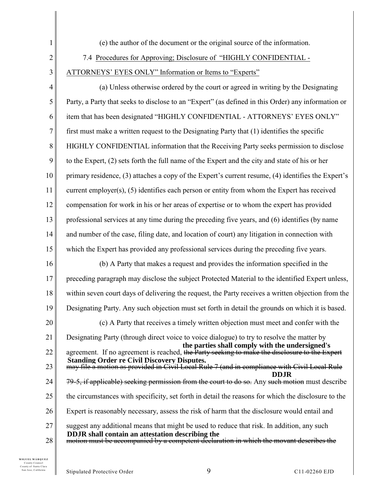- 1 2 3 4 5 6 7 8 9 10 11 12 13 14 15 16 17 18 19 20 21 22 23 24 25 26 27 (e) the author of the document or the original source of the information. 7.4 Procedures for Approving; Disclosure of "HIGHLY CONFIDENTIAL - ATTORNEYS' EYES ONLY" Information or Items to "Experts" (a) Unless otherwise ordered by the court or agreed in writing by the Designating Party, a Party that seeks to disclose to an "Expert" (as defined in this Order) any information or item that has been designated "HIGHLY CONFIDENTIAL - ATTORNEYS' EYES ONLY" first must make a written request to the Designating Party that (1) identifies the specific HIGHLY CONFIDENTIAL information that the Receiving Party seeks permission to disclose to the Expert, (2) sets forth the full name of the Expert and the city and state of his or her primary residence, (3) attaches a copy of the Expert's current resume, (4) identifies the Expert's current employer(s), (5) identifies each person or entity from whom the Expert has received compensation for work in his or her areas of expertise or to whom the expert has provided professional services at any time during the preceding five years, and (6) identifies (by name and number of the case, filing date, and location of court) any litigation in connection with which the Expert has provided any professional services during the preceding five years. (b) A Party that makes a request and provides the information specified in the preceding paragraph may disclose the subject Protected Material to the identified Expert unless, within seven court days of delivering the request, the Party receives a written objection from the Designating Party. Any such objection must set forth in detail the grounds on which it is based. (c) A Party that receives a timely written objection must meet and confer with the Designating Party (through direct voice to voice dialogue) to try to resolve the matter by agreement. If no agreement is reached, the Party seeking to make the disclosure to the Expert may file a motion as provided in Civil Local Rule 7 (and in compliance with Civil Local Rule 79-5, if applicable) seeking permission from the court to do so. Any such motion must describe the circumstances with specificity, set forth in detail the reasons for which the disclosure to the Expert is reasonably necessary, assess the risk of harm that the disclosure would entail and suggest any additional means that might be used to reduce that risk. In addition, any such **the parties shall comply with the undersigned's Standing Order re Civil Discovery Disputes. DDJR DDJR shall contain an attestation describing the**
- 28 motion must be accompanied by a competent declaration in which the movant describes the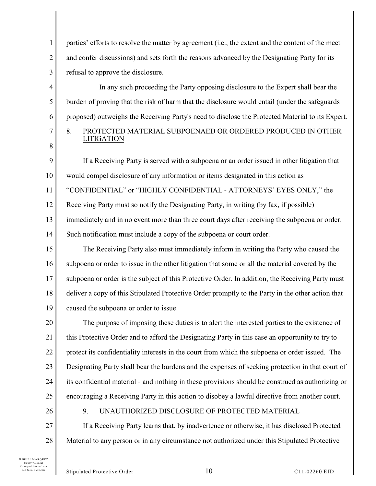1 2 3 parties' efforts to resolve the matter by agreement (i.e., the extent and the content of the meet and confer discussions) and sets forth the reasons advanced by the Designating Party for its refusal to approve the disclosure.

In any such proceeding the Party opposing disclosure to the Expert shall bear the burden of proving that the risk of harm that the disclosure would entail (under the safeguards proposed) outweighs the Receiving Party's need to disclose the Protected Material to its Expert. 8. PROTECTED MATERIAL SUBPOENAED OR ORDERED PRODUCED IN OTHER LITIGATION

9 10 11 12 13 14 If a Receiving Party is served with a subpoena or an order issued in other litigation that would compel disclosure of any information or items designated in this action as "CONFIDENTIAL" or "HIGHLY CONFIDENTIAL - ATTORNEYS' EYES ONLY," the Receiving Party must so notify the Designating Party, in writing (by fax, if possible) immediately and in no event more than three court days after receiving the subpoena or order. Such notification must include a copy of the subpoena or court order.

15 16 17 18 19 The Receiving Party also must immediately inform in writing the Party who caused the subpoena or order to issue in the other litigation that some or all the material covered by the subpoena or order is the subject of this Protective Order. In addition, the Receiving Party must deliver a copy of this Stipulated Protective Order promptly to the Party in the other action that caused the subpoena or order to issue.

20 21 22 23 24 25 The purpose of imposing these duties is to alert the interested parties to the existence of this Protective Order and to afford the Designating Party in this case an opportunity to try to protect its confidentiality interests in the court from which the subpoena or order issued. The Designating Party shall bear the burdens and the expenses of seeking protection in that court of its confidential material - and nothing in these provisions should be construed as authorizing or encouraging a Receiving Party in this action to disobey a lawful directive from another court.

26

4

5

6

7

8

# 9. UNAUTHORIZED DISCLOSURE OF PROTECTED MATERIAL

27 28 If a Receiving Party learns that, by inadvertence or otherwise, it has disclosed Protected Material to any person or in any circumstance not authorized under this Stipulated Protective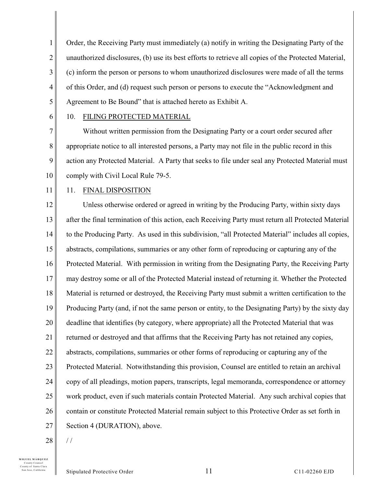1 2 3 4 5 Order, the Receiving Party must immediately (a) notify in writing the Designating Party of the unauthorized disclosures, (b) use its best efforts to retrieve all copies of the Protected Material, (c) inform the person or persons to whom unauthorized disclosures were made of all the terms of this Order, and (d) request such person or persons to execute the "Acknowledgment and Agreement to Be Bound" that is attached hereto as Exhibit A.

6

#### 10. FILING PROTECTED MATERIAL

7 8 9 10 Without written permission from the Designating Party or a court order secured after appropriate notice to all interested persons, a Party may not file in the public record in this action any Protected Material. A Party that seeks to file under seal any Protected Material must comply with Civil Local Rule 79-5.

11

#### 11. FINAL DISPOSITION

12 13 14 15 16 17 18 19 20 21 22 23 24 25 26 27 Unless otherwise ordered or agreed in writing by the Producing Party, within sixty days after the final termination of this action, each Receiving Party must return all Protected Material to the Producing Party. As used in this subdivision, "all Protected Material" includes all copies, abstracts, compilations, summaries or any other form of reproducing or capturing any of the Protected Material. With permission in writing from the Designating Party, the Receiving Party may destroy some or all of the Protected Material instead of returning it. Whether the Protected Material is returned or destroyed, the Receiving Party must submit a written certification to the Producing Party (and, if not the same person or entity, to the Designating Party) by the sixty day deadline that identifies (by category, where appropriate) all the Protected Material that was returned or destroyed and that affirms that the Receiving Party has not retained any copies, abstracts, compilations, summaries or other forms of reproducing or capturing any of the Protected Material. Notwithstanding this provision, Counsel are entitled to retain an archival copy of all pleadings, motion papers, transcripts, legal memoranda, correspondence or attorney work product, even if such materials contain Protected Material. Any such archival copies that contain or constitute Protected Material remain subject to this Protective Order as set forth in Section 4 (DURATION), above.

28

/ /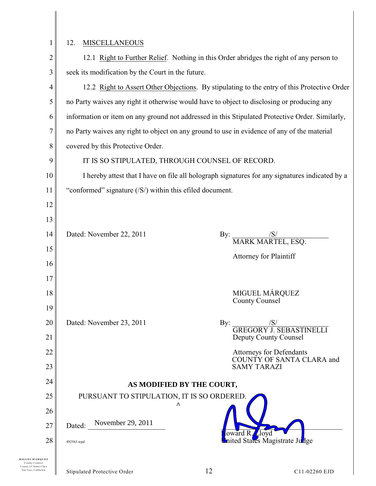## 12. MISCELLANEOUS

| $\overline{2}$ | 12.1 Right to Further Relief. Nothing in this Order abridges the right of any person to                  |  |  |
|----------------|----------------------------------------------------------------------------------------------------------|--|--|
| 3              | seek its modification by the Court in the future.                                                        |  |  |
| 4              | 12.2 Right to Assert Other Objections. By stipulating to the entry of this Protective Order              |  |  |
| 5              | no Party waives any right it otherwise would have to object to disclosing or producing any               |  |  |
| 6              | information or item on any ground not addressed in this Stipulated Protective Order. Similarly,          |  |  |
| 7              | no Party waives any right to object on any ground to use in evidence of any of the material              |  |  |
| 8              | covered by this Protective Order.                                                                        |  |  |
| 9              | IT IS SO STIPULATED, THROUGH COUNSEL OF RECORD.                                                          |  |  |
| 10             | I hereby attest that I have on file all holograph signatures for any signatures indicated by a           |  |  |
| 11             | "conformed" signature $( S\rangle)$ within this efiled document.                                         |  |  |
| 12             |                                                                                                          |  |  |
| 13             |                                                                                                          |  |  |
| 14             | Dated: November 22, 2011<br>By: $\frac{\langle S \rangle}{\text{MARK MARTEL, ESQ.}}$                     |  |  |
| 15             | <b>Attorney for Plaintiff</b>                                                                            |  |  |
| 16             |                                                                                                          |  |  |
| 17             |                                                                                                          |  |  |
| 18             | MIGUEL MÁRQUEZ<br><b>County Counsel</b>                                                                  |  |  |
| 19             |                                                                                                          |  |  |
| 20             | Dated: November 23, 2011<br>By: $\frac{\ensuremath{\mathcal{S}}\xspace}{\text{GREGORY I. SEBASTINELLI}}$ |  |  |
| 21             | Deputy County Counsel                                                                                    |  |  |
| 22             | <b>Attorneys for Defendants</b><br>COUNTY OF SANTA CLARA and                                             |  |  |
| 23             | <b>SAMY TARAZI</b>                                                                                       |  |  |
| 24             | AS MODIFIED BY THE COURT,                                                                                |  |  |
| 25             | PURSUANT TO STIPULATION, IT IS SO ORDERED.<br>Λ                                                          |  |  |
| 26             |                                                                                                          |  |  |
| 27             | November 29, 2011<br>Dated:<br>loward $R_{\ell}$ loyd                                                    |  |  |
| 28             | mited States Magistrate Judge<br>492563.wpd                                                              |  |  |